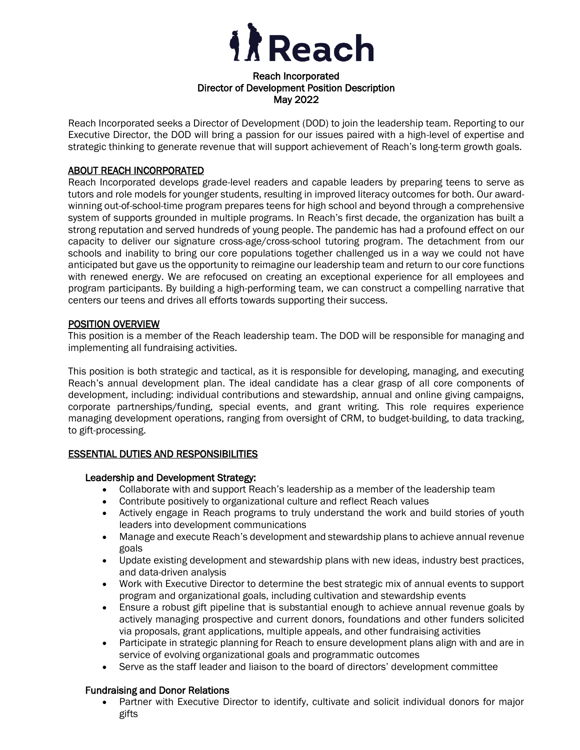

### Reach Incorporated Director of Development Position Description May 2022

Reach Incorporated seeks a Director of Development (DOD) to join the leadership team. Reporting to our Executive Director, the DOD will bring a passion for our issues paired with a high-level of expertise and strategic thinking to generate revenue that will support achievement of Reach's long-term growth goals.

### ABOUT REACH INCORPORATED

Reach Incorporated develops grade-level readers and capable leaders by preparing teens to serve as tutors and role models for younger students, resulting in improved literacy outcomes for both. Our awardwinning out-of-school-time program prepares teens for high school and beyond through a comprehensive system of supports grounded in multiple programs. In Reach's first decade, the organization has built a strong reputation and served hundreds of young people. The pandemic has had a profound effect on our capacity to deliver our signature cross-age/cross-school tutoring program. The detachment from our schools and inability to bring our core populations together challenged us in a way we could not have anticipated but gave us the opportunity to reimagine our leadership team and return to our core functions with renewed energy. We are refocused on creating an exceptional experience for all employees and program participants. By building a high-performing team, we can construct a compelling narrative that centers our teens and drives all efforts towards supporting their success.

### POSITION OVERVIEW

This position is a member of the Reach leadership team. The DOD will be responsible for managing and implementing all fundraising activities.

This position is both strategic and tactical, as it is responsible for developing, managing, and executing Reach's annual development plan. The ideal candidate has a clear grasp of all core components of development, including: individual contributions and stewardship, annual and online giving campaigns, corporate partnerships/funding, special events, and grant writing. This role requires experience managing development operations, ranging from oversight of CRM, to budget-building, to data tracking, to gift-processing.

### ESSENTIAL DUTIES AND RESPONSIBILITIES

### Leadership and Development Strategy:

- Collaborate with and support Reach's leadership as a member of the leadership team
- Contribute positively to organizational culture and reflect Reach values
- Actively engage in Reach programs to truly understand the work and build stories of youth leaders into development communications
- Manage and execute Reach's development and stewardship plans to achieve annual revenue goals
- Update existing development and stewardship plans with new ideas, industry best practices, and data-driven analysis
- Work with Executive Director to determine the best strategic mix of annual events to support program and organizational goals, including cultivation and stewardship events
- Ensure a robust gift pipeline that is substantial enough to achieve annual revenue goals by actively managing prospective and current donors, foundations and other funders solicited via proposals, grant applications, multiple appeals, and other fundraising activities
- Participate in strategic planning for Reach to ensure development plans align with and are in service of evolving organizational goals and programmatic outcomes
- Serve as the staff leader and liaison to the board of directors' development committee

### Fundraising and Donor Relations

• Partner with Executive Director to identify, cultivate and solicit individual donors for major gifts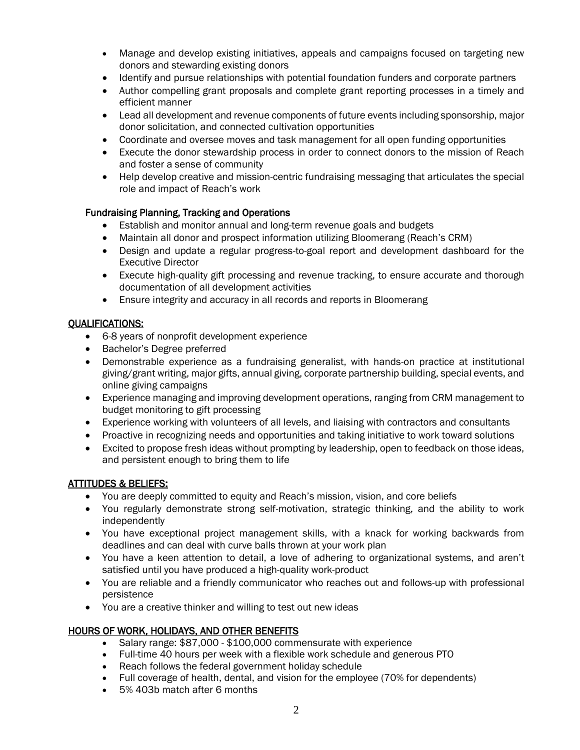- Manage and develop existing initiatives, appeals and campaigns focused on targeting new donors and stewarding existing donors
- Identify and pursue relationships with potential foundation funders and corporate partners
- Author compelling grant proposals and complete grant reporting processes in a timely and efficient manner
- Lead all development and revenue components of future events including sponsorship, major donor solicitation, and connected cultivation opportunities
- Coordinate and oversee moves and task management for all open funding opportunities
- Execute the donor stewardship process in order to connect donors to the mission of Reach and foster a sense of community
- Help develop creative and mission-centric fundraising messaging that articulates the special role and impact of Reach's work

### Fundraising Planning, Tracking and Operations

- Establish and monitor annual and long-term revenue goals and budgets
- Maintain all donor and prospect information utilizing Bloomerang (Reach's CRM)
- Design and update a regular progress-to-goal report and development dashboard for the Executive Director
- Execute high-quality gift processing and revenue tracking, to ensure accurate and thorough documentation of all development activities
- Ensure integrity and accuracy in all records and reports in Bloomerang

## QUALIFICATIONS:

- 6-8 years of nonprofit development experience
- Bachelor's Degree preferred
- Demonstrable experience as a fundraising generalist, with hands-on practice at institutional giving/grant writing, major gifts, annual giving, corporate partnership building, special events, and online giving campaigns
- Experience managing and improving development operations, ranging from CRM management to budget monitoring to gift processing
- Experience working with volunteers of all levels, and liaising with contractors and consultants
- Proactive in recognizing needs and opportunities and taking initiative to work toward solutions
- Excited to propose fresh ideas without prompting by leadership, open to feedback on those ideas, and persistent enough to bring them to life

### ATTITUDES & BELIEFS:

- You are deeply committed to equity and Reach's mission, vision, and core beliefs
- You regularly demonstrate strong self-motivation, strategic thinking, and the ability to work independently
- You have exceptional project management skills, with a knack for working backwards from deadlines and can deal with curve balls thrown at your work plan
- You have a keen attention to detail, a love of adhering to organizational systems, and aren't satisfied until you have produced a high-quality work-product
- You are reliable and a friendly communicator who reaches out and follows-up with professional persistence
- You are a creative thinker and willing to test out new ideas

# HOURS OF WORK, HOLIDAYS, AND OTHER BENEFITS

- Salary range: \$87,000 \$100,000 commensurate with experience
- Full-time 40 hours per week with a flexible work schedule and generous PTO
- Reach follows the federal government holiday schedule
- Full coverage of health, dental, and vision for the employee (70% for dependents)
- 5% 403b match after 6 months